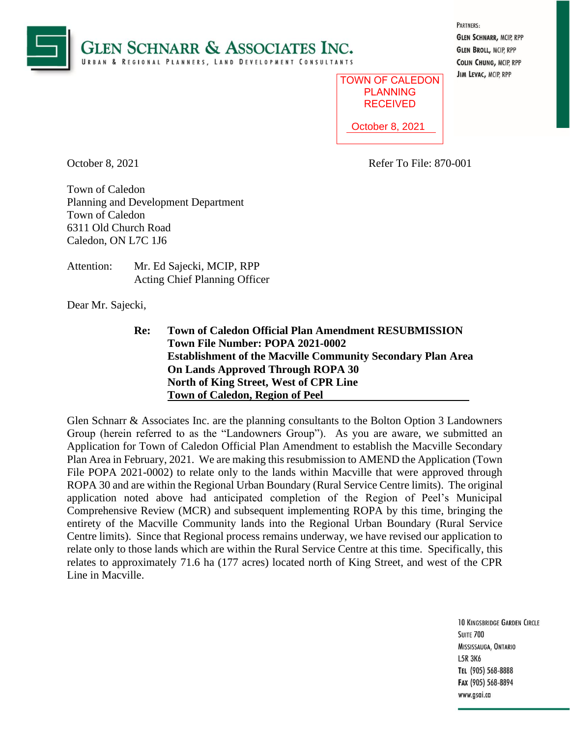

| PARTNERS:                      |
|--------------------------------|
| <b>GLEN SCHNARR, MCIP, RPP</b> |
| <b>GLEN BROLL, MCIP, RPP</b>   |
| <b>COLIN CHUNG, MCIP, RPP</b>  |
| JIM LEVAC, MCIP, RPP           |

| <b>TOWN OF CALEDON</b><br><b>PI ANNING</b><br><b>RECEIVED</b> |
|---------------------------------------------------------------|
| October 8, 2021                                               |

October 8, 2021 Refer To File: 870-001

Town of Caledon Planning and Development Department Town of Caledon 6311 Old Church Road Caledon, ON L7C 1J6

| Attention: | Mr. Ed Sajecki, MCIP, RPP            |
|------------|--------------------------------------|
|            | <b>Acting Chief Planning Officer</b> |

Dear Mr. Sajecki,

**Re: Town of Caledon Official Plan Amendment RESUBMISSION Town File Number: POPA 2021-0002 Establishment of the Macville Community Secondary Plan Area On Lands Approved Through ROPA 30 North of King Street, West of CPR Line Town of Caledon, Region of Peel**

Glen Schnarr & Associates Inc. are the planning consultants to the Bolton Option 3 Landowners Group (herein referred to as the "Landowners Group"). As you are aware, we submitted an Application for Town of Caledon Official Plan Amendment to establish the Macville Secondary Plan Area in February, 2021. We are making this resubmission to AMEND the Application (Town File POPA 2021-0002) to relate only to the lands within Macville that were approved through ROPA 30 and are within the Regional Urban Boundary (Rural Service Centre limits). The original application noted above had anticipated completion of the Region of Peel's Municipal Comprehensive Review (MCR) and subsequent implementing ROPA by this time, bringing the entirety of the Macville Community lands into the Regional Urban Boundary (Rural Service Centre limits). Since that Regional process remains underway, we have revised our application to relate only to those lands which are within the Rural Service Centre at this time. Specifically, this relates to approximately 71.6 ha (177 acres) located north of King Street, and west of the CPR Line in Macville.

> **10 KINGSBRIDGE GARDEN CIRCLE SUITE 700** MISSISSAUGA, ONTARIO **L5R 3K6** TEL (905) 568-8888 Fax (905) 568-8894 www.gsai.ca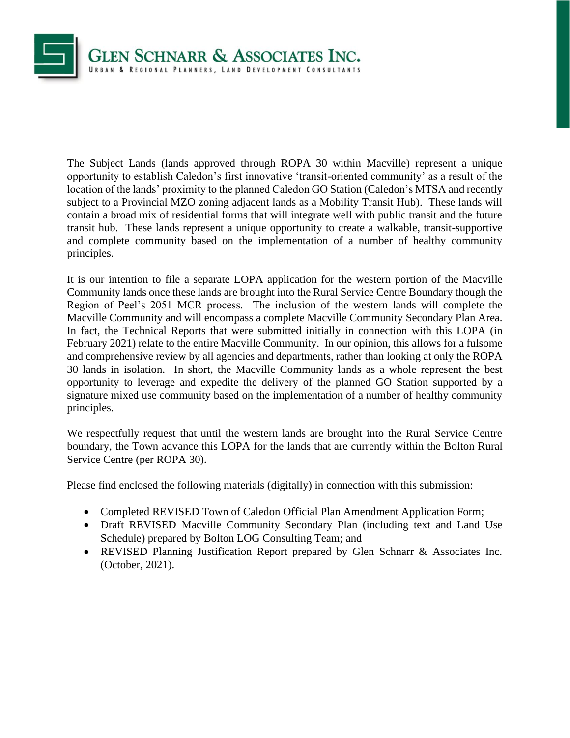

The Subject Lands (lands approved through ROPA 30 within Macville) represent a unique opportunity to establish Caledon's first innovative 'transit-oriented community' as a result of the location of the lands' proximity to the planned Caledon GO Station (Caledon's MTSA and recently subject to a Provincial MZO zoning adjacent lands as a Mobility Transit Hub). These lands will contain a broad mix of residential forms that will integrate well with public transit and the future transit hub. These lands represent a unique opportunity to create a walkable, transit-supportive and complete community based on the implementation of a number of healthy community principles.

It is our intention to file a separate LOPA application for the western portion of the Macville Community lands once these lands are brought into the Rural Service Centre Boundary though the Region of Peel's 2051 MCR process. The inclusion of the western lands will complete the Macville Community and will encompass a complete Macville Community Secondary Plan Area. In fact, the Technical Reports that were submitted initially in connection with this LOPA (in February 2021) relate to the entire Macville Community. In our opinion, this allows for a fulsome and comprehensive review by all agencies and departments, rather than looking at only the ROPA 30 lands in isolation. In short, the Macville Community lands as a whole represent the best opportunity to leverage and expedite the delivery of the planned GO Station supported by a signature mixed use community based on the implementation of a number of healthy community principles.

We respectfully request that until the western lands are brought into the Rural Service Centre boundary, the Town advance this LOPA for the lands that are currently within the Bolton Rural Service Centre (per ROPA 30).

Please find enclosed the following materials (digitally) in connection with this submission:

- Completed REVISED Town of Caledon Official Plan Amendment Application Form;
- Draft REVISED Macville Community Secondary Plan (including text and Land Use Schedule) prepared by Bolton LOG Consulting Team; and
- REVISED Planning Justification Report prepared by Glen Schnarr & Associates Inc. (October, 2021).